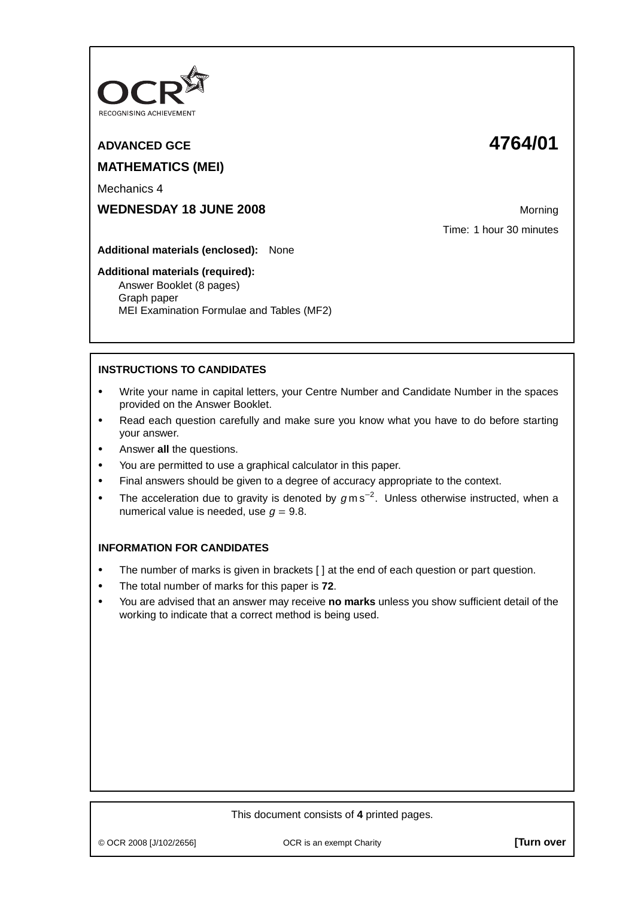

# **ADVANCED GCE 4764/01 MATHEMATICS (MEI)**

Mechanics 4

**WEDNESDAY 18 JUNE 2008** Morning

Time: 1 hour 30 minutes

**Additional materials (enclosed):** None

### **Additional materials (required):**

Answer Booklet (8 pages) Graph paper MEI Examination Formulae and Tables (MF2)

## **INSTRUCTIONS TO CANDIDATES**

- **•** Write your name in capital letters, your Centre Number and Candidate Number in the spaces provided on the Answer Booklet.
- **•** Read each question carefully and make sure you know what you have to do before starting your answer.
- **•** Answer **all** the questions.
- **•** You are permitted to use a graphical calculator in this paper.
- **•** Final answers should be given to a degree of accuracy appropriate to the context.
- **•** The acceleration due to gravity is denoted by <sup>g</sup> m s−<sup>2</sup> . Unless otherwise instructed, when a numerical value is needed, use  $q = 9.8$ .

## **INFORMATION FOR CANDIDATES**

- The number of marks is given in brackets [] at the end of each question or part question.
- **•** The total number of marks for this paper is **72**.
- **•** You are advised that an answer may receive **no marks** unless you show sufficient detail of the working to indicate that a correct method is being used.

## This document consists of **4** printed pages.

© OCR 2008 [J/102/2656] OCR is an exempt Charity **[Turn over**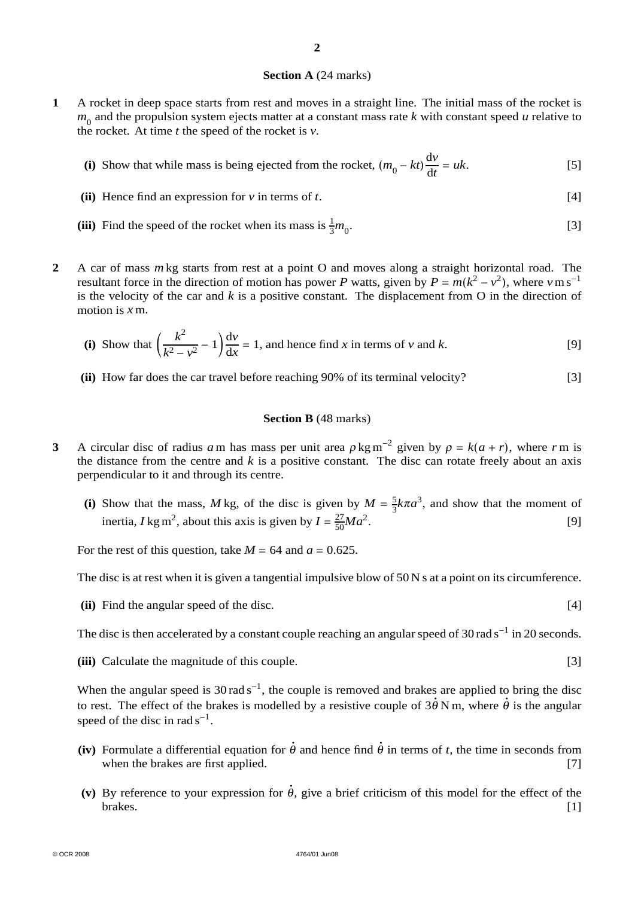### **Section A** (24 marks)

**1** A rocket in deep space starts from rest and moves in a straight line. The initial mass of the rocket is  $m<sub>0</sub>$  and the propulsion system ejects matter at a constant mass rate  $k$  with constant speed  $u$  relative to the rocket. At time *t* the speed of the rocket is *v*.

(i) Show that while mass is being ejected from the rocket, 
$$
(m_0 - kt)\frac{dv}{dt} = uk
$$
. [5]

- **(ii)** Hence find an expression for *v* in terms of *t*. [4]
- (iii) Find the speed of the rocket when its mass is  $\frac{1}{3}$  $m_0^{\prime}$ . [3]
- **2** A car of mass *m* kg starts from rest at a point O and moves along a straight horizontal road. The resultant force in the direction of motion has power *P* watts, given by  $P = m(k^2 - v^2)$ , where  $v \text{ m s}^{-1}$ is the velocity of the car and  $k$  is a positive constant. The displacement from  $O$  in the direction of motion is *x* m.

(i) Show that 
$$
\left(\frac{k^2}{k^2 - v^2} - 1\right) \frac{dv}{dx} = 1
$$
, and hence find x in terms of v and k. [9]

**(ii)** How far does the car travel before reaching 90% of its terminal velocity? [3]

#### **Section B** (48 marks)

- **3** A circular disc of radius *a* m has mass per unit area  $\rho$  kg m<sup>-2</sup> given by  $\rho = k(a + r)$ , where *r* m is the distance from the centre and  $k$  is a positive constant. The disc can rotate freely about an axis perpendicular to it and through its centre.
	- (i) Show that the mass, *M* kg, of the disc is given by  $M = \frac{5}{3}k\pi a^3$ , and show that the moment of inertia, *I* kg m<sup>2</sup>, about this axis is given by  $I = \frac{27}{50}Ma^2$ . [9]

For the rest of this question, take  $M = 64$  and  $a = 0.625$ .

The disc is at rest when it is given a tangential impulsive blow of 50 N s at a point on its circumference.

**(ii)** Find the angular speed of the disc. [4]

The disc is then accelerated by a constant couple reaching an angular speed of 30 rad s<sup>-1</sup> in 20 seconds.

**(iii)** Calculate the magnitude of this couple. [3]

When the angular speed is 30 rad s<sup>-1</sup>, the couple is removed and brakes are applied to bring the disc to rest. The effect of the brakes is modelled by a resistive couple of  $3\dot{\theta}$  N m, where  $\dot{\theta}$  is the angular speed of the disc in rad  $s^{-1}$ .

- **(iv)** Formulate a differential equation for  $\dot{\theta}$  and hence find  $\dot{\theta}$  in terms of *t*, the time in seconds from when the brakes are first applied. [7]
- (v) By reference to your expression for  $\dot{\theta}$ , give a brief criticism of this model for the effect of the brakes. [1]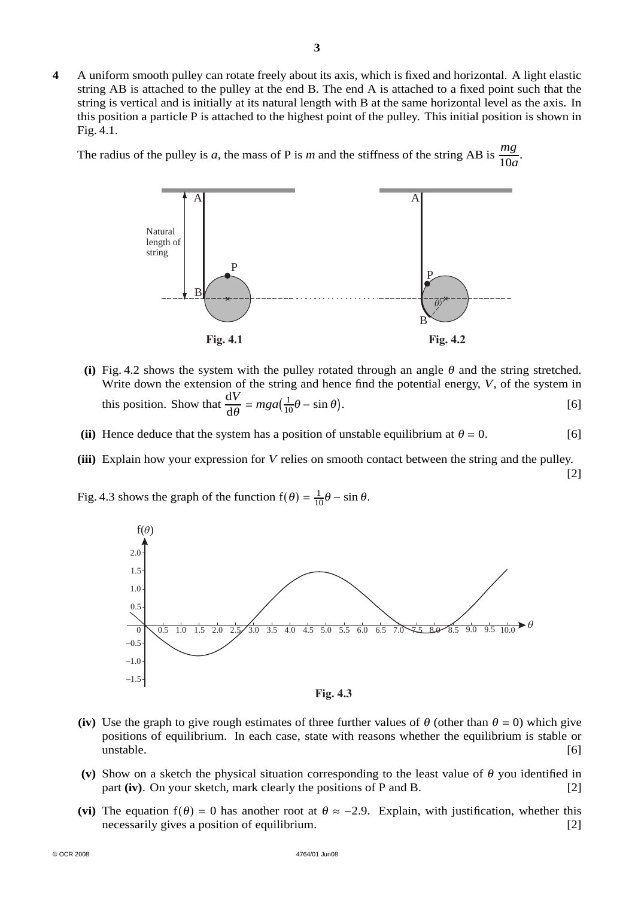**4** A uniform smooth pulley can rotate freely about its axis, which is fixed and horizontal. A light elastic string AB is attached to the pulley at the end B. The end A is attached to a fixed point such that the string is vertical and is initially at its natural length with B at the same horizontal level as the axis. In this position a particle P is attached to the highest point of the pulley. This initial position is shown in Fig. 4.1.

The radius of the pulley is *a*, the mass of P is *m* and the stiffness of the string AB is  $\frac{mg}{10a}$ .



- (i) Fig. 4.2 shows the system with the pulley rotated through an angle  $\theta$  and the string stretched. Write down the extension of the string and hence find the potential energy, *V*, of the system in this position. Show that  $\frac{dV}{d\theta} = mga(\frac{1}{10}\theta - \sin \theta)$ . [6]
- (ii) Hence deduce that the system has a position of unstable equilibrium at  $\theta = 0$ . [6]
- **(iii)** Explain how your expression for *V* relies on smooth contact between the string and the pulley.

[2]

Fig. 4.3 shows the graph of the function  $f(\theta) = \frac{1}{10}\theta - \sin \theta$ .



- (iv) Use the graph to give rough estimates of three further values of  $\theta$  (other than  $\theta = 0$ ) which give positions of equilibrium. In each case, state with reasons whether the equilibrium is stable or unstable. [6]
- (v) Show on a sketch the physical situation corresponding to the least value of  $\theta$  you identified in part **(iv)**. On your sketch, mark clearly the positions of P and B. [2]
- (vi) The equation  $f(\theta) = 0$  has another root at  $\theta \approx -2.9$ . Explain, with justification, whether this necessarily gives a position of equilibrium. [2]